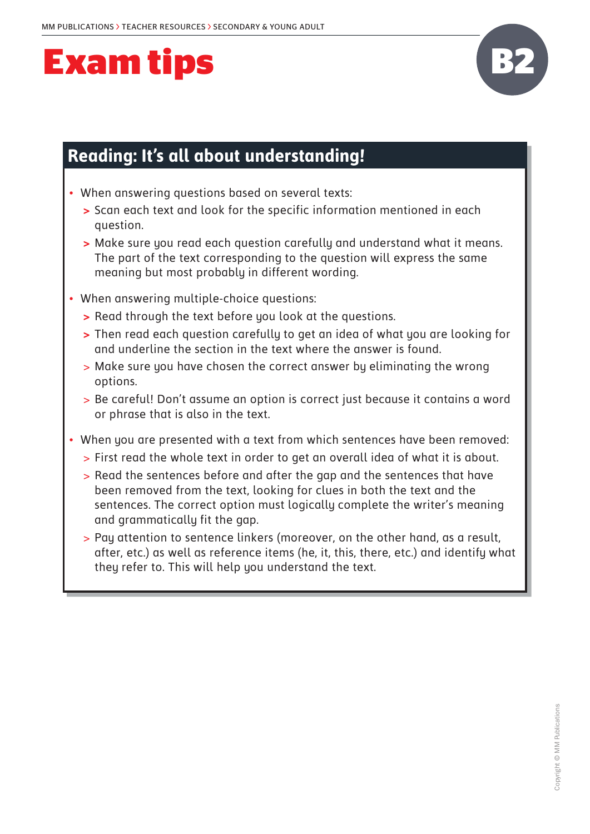

#### **Reading: It's all about understanding!**

- When answering questions based on several texts:
	- **>** Scan each text and look for the specific information mentioned in each question.
	- **>** Make sure you read each question carefully and understand what it means. The part of the text corresponding to the question will express the same meaning but most probably in different wording.
- When answering multiple-choice questions:
	- **>** Read through the text before you look at the questions.
	- **>** Then read each question carefully to get an idea of what you are looking for and underline the section in the text where the answer is found.
	- > Make sure you have chosen the correct answer by eliminating the wrong options.
	- > Be careful! Don't assume an option is correct just because it contains a word or phrase that is also in the text.
- When you are presented with a text from which sentences have been removed:
	- > First read the whole text in order to get an overall idea of what it is about.
	- > Read the sentences before and after the gap and the sentences that have been removed from the text, looking for clues in both the text and the sentences. The correct option must logically complete the writer's meaning and grammatically fit the gap.
	- > Pay attention to sentence linkers (moreover, on the other hand, as a result, after, etc.) as well as reference items (he, it, this, there, etc.) and identify what they refer to. This will help you understand the text.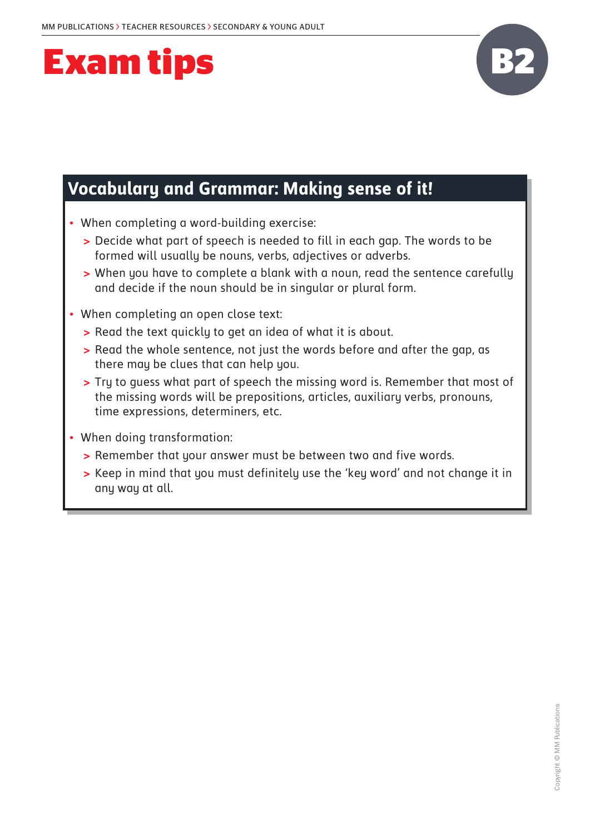

### **Vocabulary and Grammar: Making sense of it!**

- When completing a word-building exercise:
	- **>** Decide what part of speech is needed to fill in each gap. The words to be formed will usually be nouns, verbs, adjectives or adverbs.
	- **>** When you have to complete a blank with a noun, read the sentence carefully and decide if the noun should be in singular or plural form.
- When completing an open close text:
	- **>** Read the text quickly to get an idea of what it is about.
	- **>** Read the whole sentence, not just the words before and after the gap, as there may be clues that can help you.
	- **>** Try to guess what part of speech the missing word is. Remember that most of the missing words will be prepositions, articles, auxiliary verbs, pronouns, time expressions, determiners, etc.
- When doing transformation:
	- **>** Remember that your answer must be between two and five words.
	- **>** Keep in mind that you must definitely use the 'key word' and not change it in any way at all.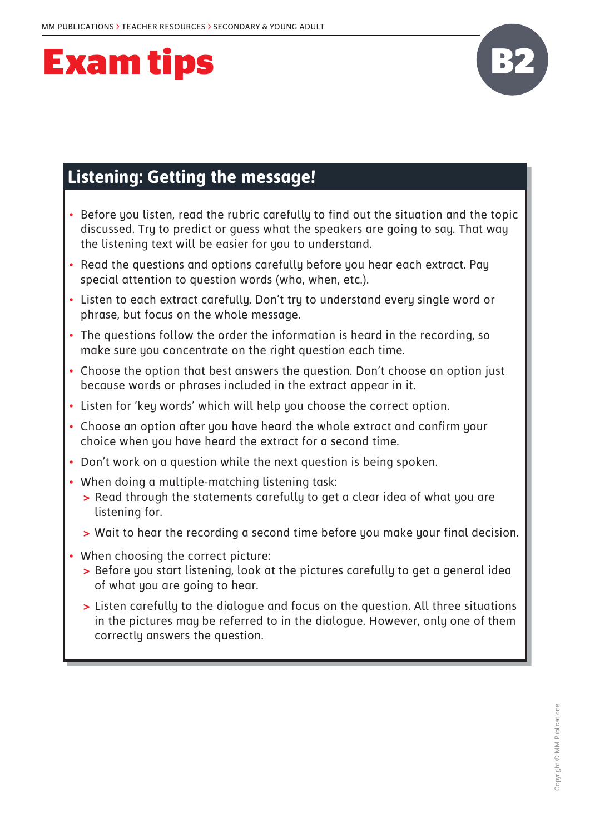

### **Listening: Getting the message!**

- Before you listen, read the rubric carefully to find out the situation and the topic discussed. Try to predict or guess what the speakers are going to say. That way the listening text will be easier for you to understand.
- Read the questions and options carefully before you hear each extract. Pay special attention to question words (who, when, etc.).
- Listen to each extract carefully. Don't try to understand every single word or phrase, but focus on the whole message.
- The questions follow the order the information is heard in the recording, so make sure you concentrate on the right question each time.
- Choose the option that best answers the question. Don't choose an option just because words or phrases included in the extract appear in it.
- Listen for 'key words' which will help you choose the correct option.
- Choose an option after you have heard the whole extract and confirm your choice when you have heard the extract for a second time.
- Don't work on a question while the next question is being spoken.
- When doing a multiple-matching listening task:
	- **>** Read through the statements carefully to get a clear idea of what you are listening for.
	- **>** Wait to hear the recording a second time before you make your final decision.
- When choosing the correct picture:
	- **>** Before you start listening, look at the pictures carefully to get a general idea of what you are going to hear.
	- **>** Listen carefully to the dialogue and focus on the question. All three situations in the pictures may be referred to in the dialogue. However, only one of them correctly answers the question.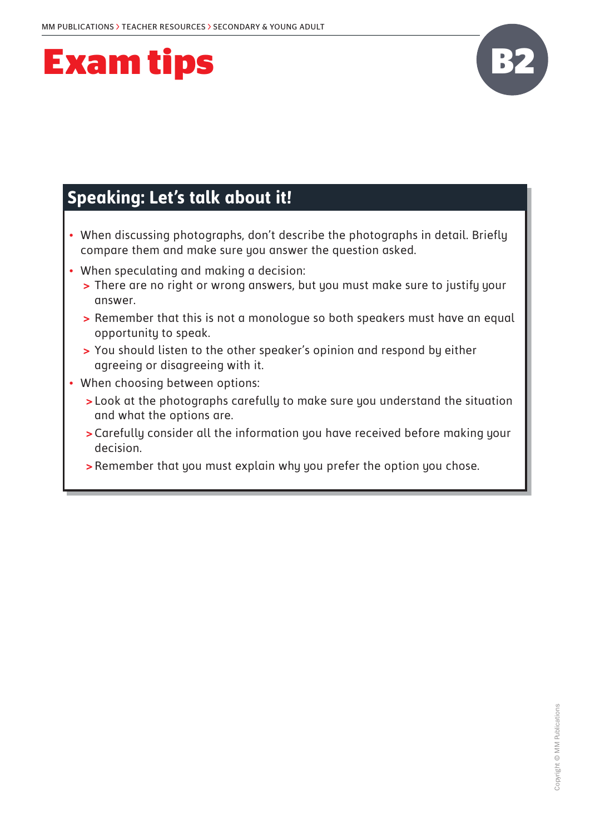

### **Speaking: Let's talk about it!**

- When discussing photographs, don't describe the photographs in detail. Briefly compare them and make sure you answer the question asked.
- When speculating and making a decision:
	- **>** There are no right or wrong answers, but you must make sure to justify your answer.
	- **>** Remember that this is not a monologue so both speakers must have an equal opportunity to speak.
	- **>** You should listen to the other speaker's opinion and respond by either agreeing or disagreeing with it.
- When choosing between options:
	- **>** Look at the photographs carefully to make sure you understand the situation and what the options are.
	- **>**Carefully consider all the information you have received before making your decision.
	- **>**Remember that you must explain why you prefer the option you chose.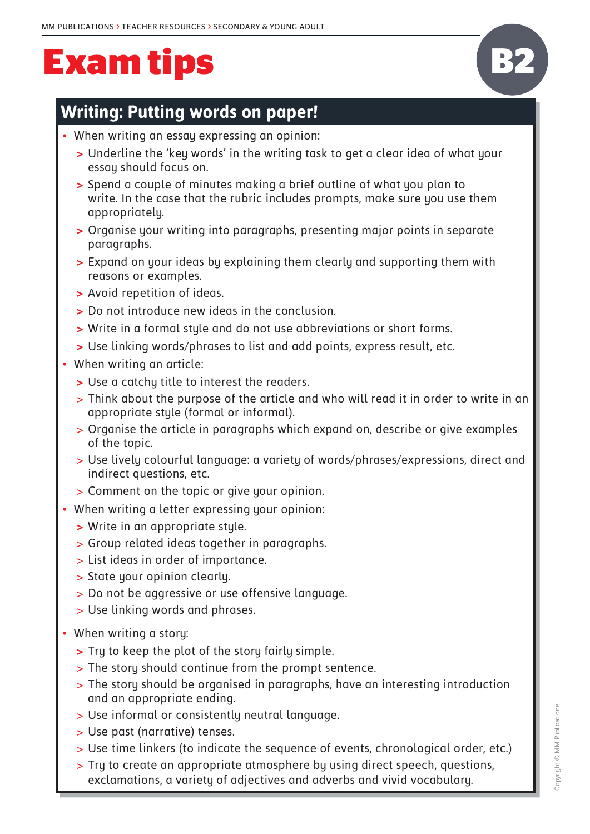#### **Writing: Putting words on paper!**

- When writing an essay expressing an opinion:
	- **>** Underline the 'key words' in the writing task to get a clear idea of what your essay should focus on.
	- **>** Spend a couple of minutes making a brief outline of what you plan to write. In the case that the rubric includes prompts, make sure you use them appropriately.
	- **>** Organise your writing into paragraphs, presenting major points in separate paragraphs.
	- **>** Expand on your ideas by explaining them clearly and supporting them with reasons or examples.
	- **>** Avoid repetition of ideas.
	- **>** Do not introduce new ideas in the conclusion.
	- **>** Write in a formal style and do not use abbreviations or short forms.
	- **>** Use linking words/phrases to list and add points, express result, etc.
- When writing an article:
	- **>** Use a catchy title to interest the readers.
	- > Think about the purpose of the article and who will read it in order to write in an appropriate style (formal or informal).
	- > Organise the article in paragraphs which expand on, describe or give examples of the topic.
	- > Use lively colourful language: a variety of words/phrases/expressions, direct and indirect questions, etc.
	- > Comment on the topic or give your opinion.
- When writing a letter expressing your opinion:
	- **>** Write in an appropriate style.
	- > Group related ideas together in paragraphs.
	- > List ideas in order of importance.
	- > State your opinion clearly.
	- > Do not be aggressive or use offensive language.
	- > Use linking words and phrases.
- When writing a story:
	- **>** Try to keep the plot of the story fairly simple.
	- > The story should continue from the prompt sentence.
	- > The story should be organised in paragraphs, have an interesting introduction and an appropriate ending.
	- > Use informal or consistently neutral language.
	- > Use past (narrative) tenses.
	- > Use time linkers (to indicate the sequence of events, chronological order, etc.)
	- > Try to create an appropriate atmosphere by using direct speech, questions, exclamations, a variety of adjectives and adverbs and vivid vocabulary.

**B2**